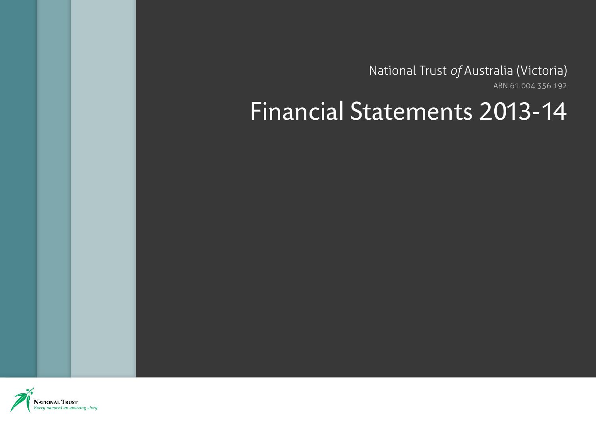National Trust *of* Australia (Victoria) ABN 61 004 356 192

# Financial Statements 2013-14

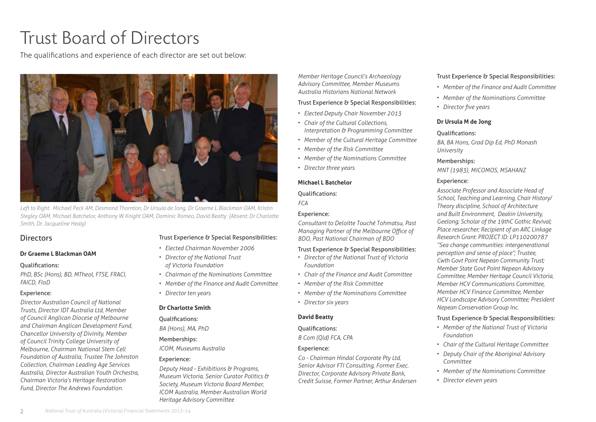## Trust Board of Directors

The qualifications and experience of each director are set out below:



*Left to Right: Michael Peck AM, Desmond Thornton, Dr Ursula de Jong, Dr Graeme L Blackman OAM, Kristin Stegley OAM, Michael Batchelor, Anthony W Knight OAM, Dominic Romeo, David Beatty (Absent: Dr Charlotte Smith, Dr. Jacqueline Healy)*

### **Directors**

#### **Dr Graeme L Blackman OAM**

#### Qualifications:

*PhD, BSc (Hons), BD, MTheol, FTSE, FRACI, FAICD, FIoD*

#### Experience:

*Director Australian Council of National Trusts, Director IDT Australia Ltd, Member of Council Anglican Diocese of Melbourne and Chairman Anglican Development Fund, Chancellor University of Divinity, Member of Council Trinity College University of Melbourne, Chairman National Stem Cell Foundation of Australia, Trustee The Johnston Collection, Chairman Leading Age Services Australia, Director Australian Youth Orchestra, Chairman Victoria's Heritage Restoration Fund, Director The Andrews Foundation.* 

#### Trust Experience & Special Responsibilities:

- *Elected Chairman November 2006*
- *Director of the National Trust of Victoria Foundation*
- *Chairman of the Nominations Committee*
- *Member of the Finance and Audit Committee*
- *Director ten years*

#### **Dr Charlotte Smith**

#### Qualifications:

*BA (Hons), MA, PhD*

#### Memberships:

*ICOM, Museums Australia*

#### Experience:

*Deputy Head - Exhibitions & Programs, Museum Victoria, Senior Curator Politics & Society, Museum Victoria Board Member, ICOM Australia, Member Australian World Heritage Advisory Committee*

*Member Heritage Council's Archaeology Advisory Committee, Member Museums Australia Historians National Network*

#### Trust Experience & Special Responsibilities:

- *Elected Deputy Chair November 2013*
- *Chair of the Cultural Collections, Interpretation & Programming Committee*
- *Member of the Cultural Heritage Committee*
- *Member of the Risk Committee*
- *Member of the Nominations Committee*
- *Director three years*

#### **Michael L Batchelor**

#### Qualifications:

*FCA*

#### Experience:

*Consultant to Deloitte Touché Tohmatsu, Past Managing Partner of the Melbourne Office of BDO, Past National Chairman of BDO*

#### Trust Experience & Special Responsibilities:

- *Director of the National Trust of Victoria Foundation*
- *Chair of the Finance and Audit Committee*
- *Member of the Risk Committee*
- *Member of the Nominations Committee*
- *Director six years*

#### **David Beatty**

#### Qualifications:

*B Com (Qld) FCA, CPA*

#### Experience:

*Co - Chairman Hindal Corporate Pty Ltd, Senior Advisor FTI Consulting, Former Exec. Director, Corporate Advisory Private Bank, Credit Suisse, Former Partner, Arthur Andersen*

### Trust Experience & Special Responsibilities:

- *Member of the Finance and Audit Committee*
- *Member of the Nominations Committee*
- *Director five years*

#### **Dr Ursula M de Jong**

#### Qualifications:

*BA, BA Hons, Grad Dip Ed, PhD Monash University*

#### Memberships:

*MNT (1983), MICOMOS, MSAHANZ*

#### Experience:

*Associate Professor and Associate Head of School, Teaching and Learning, Chair History/ Theory discipline, School of Architecture and Built Environment, Deakin University, Geelong; Scholar of the 19thC Gothic Revival; Place researcher; Recipient of an ARC Linkage Research Grant: PROJECT ID: LP110200787 "Sea change communities: intergenerational perception and sense of place"; Trustee, Cwth Govt Point Nepean Community Trust; Member State Govt Point Nepean Advisory Committee; Member Heritage Council Victoria, Member HCV Communications Committee, Member HCV Finance Committee, Member HCV Landscape Advisory Committee; President Nepean Conservation Group Inc.*

#### Trust Experience & Special Responsibilities:

- *Member of the National Trust of Victoria Foundation*
- *Chair of the Cultural Heritage Committee*
- *Deputy Chair of the Aboriginal Advisory Committee*
- *Member of the Nominations Committee*
- *Director eleven years*

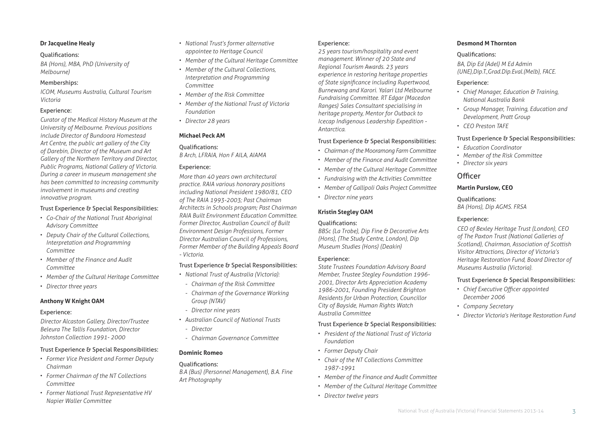#### **Dr Jacqueline Healy**

#### Qualifications:

*BA (Hons), MBA, PhD (University of Melbourne)*

#### Memberships:

*ICOM, Museums Australia, Cultural Tourism Victoria*

#### Experience:

*Curator of the Medical History Museum at the University of Melbourne. Previous positions include Director of Bundoora Homestead Art Centre, the public art gallery of the City of Darebin, Director of the Museum and Art Gallery of the Northern Territory and Director, Public Programs, National Gallery of Victoria. During a career in museum management she has been committed to increasing community involvement in museums and creating innovative program.*

#### Trust Experience & Special Responsibilities:

- *Co-Chair of the National Trust Aboriginal Advisory Committee*
- *Deputy Chair of the Cultural Collections, Interpretation and Programming Committee*
- *Member of the Finance and Audit Committee*
- *Member of the Cultural Heritage Committee*
- *Director three years*

#### **Anthony W Knight OAM**

#### Experience:

*Director Alcaston Gallery, Director/Trustee Beleura The Tallis Foundation, Director Johnston Collection 1991- 2000*

#### Trust Experience & Special Responsibilities:

- *Former Vice President and Former Deputy Chairman*
- *Former Chairman of the NT Collections Committee*
- *Former National Trust Representative HV Napier Waller Committee*
- *National Trust's former alternative appointee to Heritage Council*
- *Member of the Cultural Heritage Committee*
- *Member of the Cultural Collections, Interpretation and Programming Committee*
- *Member of the Risk Committee*
- *Member of the National Trust of Victoria Foundation*
- *Director 28 years*

#### **Michael Peck AM**

#### Qualifications:

*B Arch, LFRAIA, Hon F AILA, AIAMA*

#### Experience:

*More than 40 years own architectural practice. RAIA various honorary positions including National President 1980/81, CEO of The RAIA 1993-2003; Past Chairman Architects in Schools program; Past Chairman RAIA Built Environment Education Committee. Former Director, Australian Council of Built Environment Design Professions, Former Director Australian Council of Professions, Former Member of the Building Appeals Board - Victoria.*

#### Trust Experience & Special Responsibilities:

- *National Trust of Australia (Victoria):*
- *- Chairman of the Risk Committee*
- *- Chairman of the Governance Working Group (NTAV)*
- *- Director nine years*
- *Australian Council of National Trusts*
	- *- Director*
	- *- Chairman Governance Committee*

### **Dominic Romeo**

#### Qualifications:

*B.A (Bus) (Personnel Management), B.A. Fine Art Photography*

#### Experience:

*25 years tourism/hospitality and event management. Winner of 20 State and Regional Tourism Awards. 23 years experience in restoring heritage properties of State significance including Rupertwood, Burnewang and Karori. Yalari Ltd Melbourne Fundraising Committee. RT Edgar (Macedon Ranges) Sales Consultant specialising in heritage property, Mentor for Outback to Icecap Indigenous Leadership Expedition - Antarctica.*

#### Trust Experience & Special Responsibilities:

- *Chairman of the Mooramong Farm Committee*
- *Member of the Finance and Audit Committee*
- *Member of the Cultural Heritage Committee*
- *Fundraising with the Activities Committee*
- *Member of Gallipoli Oaks Project Committee*
- *Director nine years*

### **Kristin Stegley OAM**

#### Qualifications:

*BBSc (La Trobe), Dip Fine & Decorative Arts (Hons), (The Study Centre, London), Dip Museum Studies (Hons) (Deakin)*

#### Experience:

*State Trustees Foundation Advisory Board Member, Trustee Stegley Foundation 1996- 2001, Director Arts Appreciation Academy 1986-2001, Founding President Brighton Residents for Urban Protection, Councillor City of Bayside, Human Rights Watch Australia Committee*

#### Trust Experience & Special Responsibilities:

- *President of the National Trust of Victoria Foundation*
- *Former Deputy Chair*
- *Chair of the NT Collections Committee 1987-1991*
- *Member of the Finance and Audit Committee*
- *Member of the Cultural Heritage Committee*
- *Director twelve years*

#### **Desmond M Thornton**

#### Qualifications:

*BA, Dip Ed (Adel) M Ed Admin (UNE),Dip.T.,Grad.Dip.Eval.(Melb), FACE.*

#### Experience:

- *Chief Manager, Education & Training, National Australia Bank*
- *Group Manager, Training, Education and Development, Pratt Group*
- *CEO Preston TAFE*

#### Trust Experience & Special Responsibilities:

- *Education Coordinator*
- *Member of the Risk Committee*
- *Director six years*

### Officer

#### **Martin Purslow, CEO**

Qualifications: *BA (Hons), Dip AGMS. FRSA*

#### Experience:

*CEO of Bexley Heritage Trust (London), CEO of The Paxton Trust (National Galleries of Scotland), Chairman, Association of Scottish Visitor Attractions, Director of Victoria's Heritage Restoration Fund, Board Director of Museums Australia (Victoria).*

#### Trust Experience & Special Responsibilities:

- *Chief Executive Officer appointed December 2006*
- *Company Secretary*
- *Director Victoria's Heritage Restoration Fund*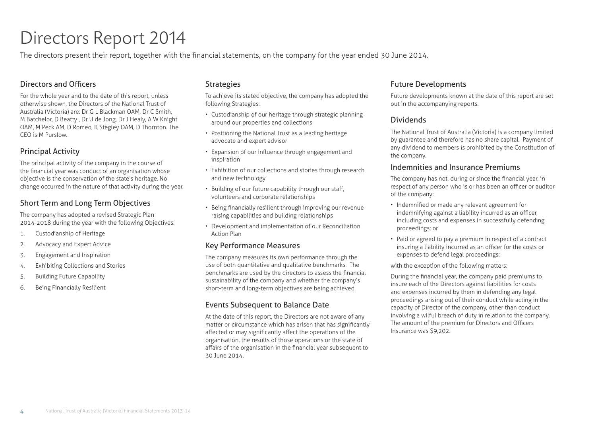## Directors Report 2014

The directors present their report, together with the financial statements, on the company for the year ended 30 June 2014.

## Directors and Officers

For the whole year and to the date of this report, unless otherwise shown, the Directors of the National Trust of Australia (Victoria) are: Dr G L Blackman OAM, Dr C Smith, M Batchelor, D Beatty , Dr U de Jong, Dr J Healy, A W Knight OAM, M Peck AM, D Romeo, K Stegley OAM, D Thornton. The CEO is M Purslow.

## Principal Activity

The principal activity of the company in the course of the financial year was conduct of an organisation whose objective is the conservation of the state's heritage. No change occurred in the nature of that activity during the year.

## Short Term and Long Term Objectives

The company has adopted a revised Strategic Plan 2014-2018 during the year with the following Objectives:

- 1. Custodianship of Heritage
- 2. Advocacy and Expert Advice
- 3. Engagement and Inspiration
- 4. Exhibiting Collections and Stories
- 5. Building Future Capability
- 6. Being Financially Resilient

## **Strategies**

To achieve its stated objective, the company has adopted the following Strategies:

- Custodianship of our heritage through strategic planning around our properties and collections
- Positioning the National Trust as a leading heritage advocate and expert advisor
- Expansion of our influence through engagement and inspiration
- Exhibition of our collections and stories through research and new technology
- Building of our future capability through our staff, volunteers and corporate relationships
- Being financially resilient through improving our revenue raising capabilities and building relationships
- Development and implementation of our Reconciliation Action Plan

## Key Performance Measures

The company measures its own performance through the use of both quantitative and qualitative benchmarks. The benchmarks are used by the directors to assess the financial sustainability of the company and whether the company's short-term and long-term objectives are being achieved.

## Events Subsequent to Balance Date

At the date of this report, the Directors are not aware of any matter or circumstance which has arisen that has significantly affected or may significantly affect the operations of the organisation, the results of those operations or the state of affairs of the organisation in the financial year subsequent to 30 June 2014.

## Future Developments

Future developments known at the date of this report are set out in the accompanying reports.

## **Dividends**

The National Trust of Australia (Victoria) is a company limited by guarantee and therefore has no share capital. Payment of any dividend to members is prohibited by the Constitution of the company.

## Indemnities and Insurance Premiums

The company has not, during or since the financial year, in respect of any person who is or has been an officer or auditor of the company:

- Indemnified or made any relevant agreement for indemnifying against a liability incurred as an officer, including costs and expenses in successfully defending proceedings; or
- Paid or agreed to pay a premium in respect of a contract insuring a liability incurred as an officer for the costs or expenses to defend legal proceedings;

with the exception of the following matters:

During the financial year, the company paid premiums to insure each of the Directors against liabilities for costs and expenses incurred by them in defending any legal proceedings arising out of their conduct while acting in the capacity of Director of the company, other than conduct involving a wilful breach of duty in relation to the company. The amount of the premium for Directors and Officers Insurance was \$9,202.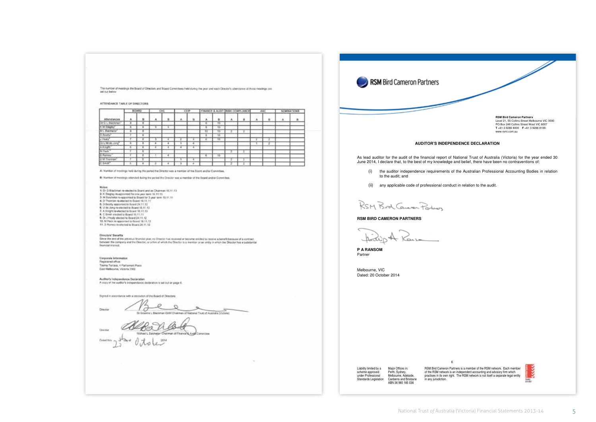The number of meetings the Board of Directors and Board Constitues held stateg the year and each Director's attendance at those meetings are

#### ATTENDANCE TABLE OF DIRECTORS

|                     |   | BOARD  |   | CHC |   | COP     |    |     |   | FINANCE & AUDIT TRISK COMPLIANCE | <b>AAC</b> |   | <b>NOMINATIONS</b> |
|---------------------|---|--------|---|-----|---|---------|----|-----|---|----------------------------------|------------|---|--------------------|
| Attendances         |   |        | ٠ |     |   |         |    | ٠   | л |                                  |            | A | ٠                  |
| <b>G.L.Blackman</b> | ٠ | в      |   |     |   |         | c  |     |   |                                  |            |   |                    |
| MoMy                | ٠ | и      | з | ٠   |   |         | в  | 10  |   |                                  |            |   |                    |
| <b>Butchelor</b>    | э | в<br>- |   |     |   |         | 10 | Tb. |   | э                                |            |   |                    |
| <b>Differents</b>   |   | ٠      |   |     |   |         |    | 10  |   |                                  |            |   |                    |
| man                 |   | ۰      |   |     |   |         | ٤  | 18  |   |                                  |            |   |                    |
| Dr U Mide Jong      | ٠ | в      | ٠ |     |   | ٠       |    |     |   |                                  |            |   |                    |
|                     |   | ٠      |   |     | ٠ | $\cdot$ |    |     |   |                                  |            |   |                    |
| <b>N.I. Paulk</b>   |   | в      |   |     |   |         |    |     | з |                                  |            |   |                    |
| C Romer             |   | ٠      |   |     |   |         | ٠  | 36  |   |                                  |            |   |                    |
| C.M. Thurston       |   |        |   |     |   |         |    |     |   | ×                                |            |   |                    |
| C Smith             |   | ٠      |   |     |   | ٠       |    |     |   |                                  |            |   |                    |

 $\rightarrow$ 

A: Number of resellings held during the period the Director was a member of the Board and/or Committee.

B: Number of meetings attended during the period the Director was a member of the Spand and/or Committee.

#### **Histon**

Notes:<br>1: Dr. G. Blackman re-elected to Soard and as Chairman 15.11.13<br>2: K. Stegley m-appointed for one pear lawn 16.11.13<br>2: M. Baschelor re-appointed to Beard for 3 year term 19.11.11 A. D. Thornton re-sponned to Board 19.11.11 6. U do Jong re-slutted to Board 18, 11. 12<br>7. A Knight re-slutted to Scure 16, 11. 13<br>8. C Smith shotted to Board 19, 11. 11 B. Dr J Healy elected to Board DA 11.12

19. M Peck no-appointed to Board 18.11.13

#### **Cirectory' Senator**

one can several and the previous fruits lay year. He Director has reserved or become and best to receive a benefit because of a contract<br>Between the company and the Director, or a firm of which the Director is a marker or Neuscript interest

#### Corporate Information<br>Registered office: Tasma Terrace, 4 Parliament Place<br>East Melbourne, Victoria 2002

Auditor's Independence Declaration A copy of the auditor's independence declaration is set out on page it.

Signed in proceduring with a researchies of the Board of Signeters'

 $\circ$ **Printin** Bisconar GAM Challman of National Trust of Australia (Victoria)

**Pinning** man of Energy of Los tole Dated Fox



As lead auditor for the audit of the financial report of National Trust of Australia (Victoria) for the year ended 30 June 2014, I declare that, to the best of my knowledge and belief, there have been no contraventions of:

- (i) the auditor independence requirements of the Australian Professional Accounting Bodies in relation to the audit; and
- (ii) any applicable code of professional conduct in relation to the audit.

RSM Brol Causer Porture

#### **RSM BIRD CAMERON PARTNERS**

**P A RANSOM**  Partner

Melbourne, VIC Dated: 20 October 2014

Liability limited by a scheme approved under Professional Standards Legislation Major Offices in: Perth, Sydney, Melbourne, Adelaide, Canberra and Brisbane ABN 36 965 185 036 RSM Bird Cameron Partners is a member of the RSM network. Each member of the RSM network is an independent accounting and advisory firm which<br>practises in its own right. The RSM network is not itself a separate legal entity<br>in any jurisdiction.

6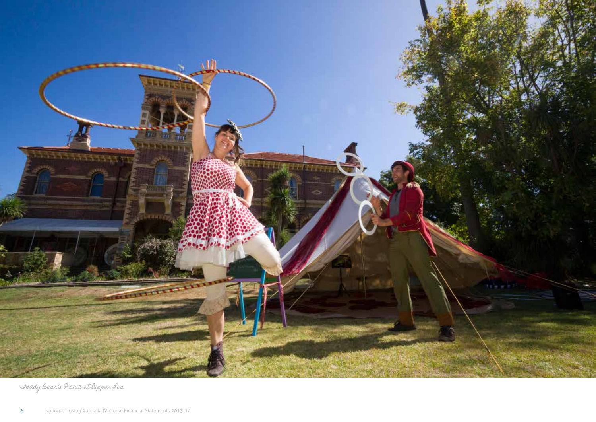

Teddy Bear's Picnic at Rippon Lea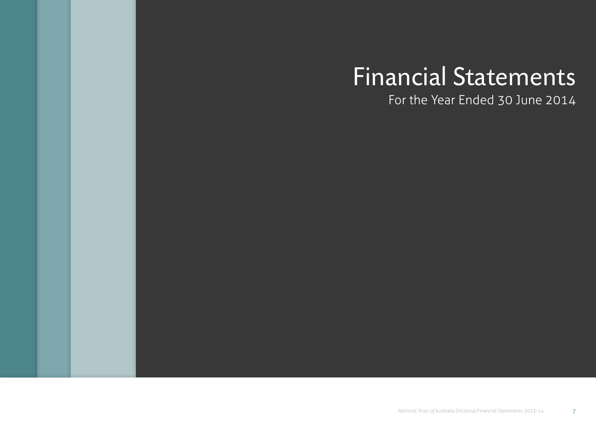# Financial Statements

For the Year Ended 30 June 2014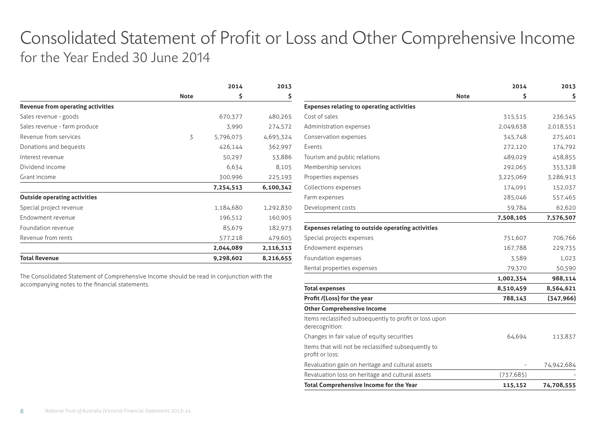## Consolidated Statement of Profit or Loss and Other Comprehensive Income for the Year Ended 30 June 2014

|                                          |             | 2014      | 2013      |
|------------------------------------------|-------------|-----------|-----------|
|                                          | <b>Note</b> | \$        | \$        |
| <b>Revenue from operating activities</b> |             |           |           |
| Sales revenue - goods                    |             | 670,377   | 480,265   |
| Sales revenue - farm produce             |             | 3,990     | 274,572   |
| Revenue from services                    | 3           | 5,796,075 | 4,695,324 |
| Donations and bequests                   |             | 426,144   | 362,997   |
| Interest revenue                         |             | 50,297    | 53,886    |
| Dividend income                          |             | 6,634     | 8,105     |
| Grant income                             |             | 300,996   | 225,193   |
|                                          |             | 7,254,513 | 6,100,342 |
| <b>Outside operating activities</b>      |             |           |           |
| Special project revenue                  |             | 1,184,680 | 1,292,830 |
| Endowment revenue                        |             | 196,512   | 160,905   |
| Foundation revenue                       |             | 85,679    | 182,973   |
| Revenue from rents                       |             | 577,218   | 479,605   |
|                                          |             | 2,044,089 | 2,116,313 |
| <b>Total Revenue</b>                     |             | 9,298,602 | 8,216,655 |

The Consolidated Statement of Comprehensive Income should be read in conjunction with the accompanying notes to the financial statements.

|                                                                          |             | 2014       | 2013       |
|--------------------------------------------------------------------------|-------------|------------|------------|
|                                                                          | <b>Note</b> | \$         | \$         |
| <b>Expenses relating to operating activities</b>                         |             |            |            |
| Cost of sales                                                            |             | 315,515    | 236,545    |
| Administration expenses                                                  |             | 2,049,638  | 2,018,551  |
| Conservation expenses                                                    |             | 345,748    | 275,401    |
| Events                                                                   |             | 272,120    | 174,792    |
| Tourism and public relations                                             |             | 489,029    | 458,855    |
| Membership services                                                      |             | 292,065    | 353,328    |
| Properties expenses                                                      |             | 3,225,069  | 3,286,913  |
| Collections expenses                                                     |             | 174,091    | 152,037    |
| Farm expenses                                                            |             | 285,046    | 557,465    |
| Development costs                                                        |             | 59,784     | 62,620     |
|                                                                          |             | 7,508,105  | 7,576,507  |
| <b>Expenses relating to outside operating activities</b>                 |             |            |            |
| Special projects expenses                                                |             | 751,607    | 706,766    |
| Endowment expenses                                                       |             | 167,788    | 229,735    |
| Foundation expenses                                                      |             | 3,589      | 1,023      |
| Rental properties expenses                                               |             | 79,370     | 50,590     |
|                                                                          |             | 1,002,354  | 988,114    |
| <b>Total expenses</b>                                                    |             | 8,510,459  | 8,564,621  |
| Profit /(Loss) for the year                                              |             | 788,143    | (347, 966) |
| <b>Other Comprehensive Income</b>                                        |             |            |            |
| Items reclassified subsequently to profit or loss upon<br>derecognition: |             |            |            |
| Changes in fair value of equity securities                               |             | 64,694     | 113,837    |
| Items that will not be reclassified subsequently to<br>profit or loss:   |             |            |            |
| Revaluation gain on heritage and cultural assets                         |             |            | 74,942,684 |
| Revaluation loss on heritage and cultural assets                         |             | (737, 685) |            |
| Total Comprehensive Income for the Year                                  |             | 115,152    | 74,708,555 |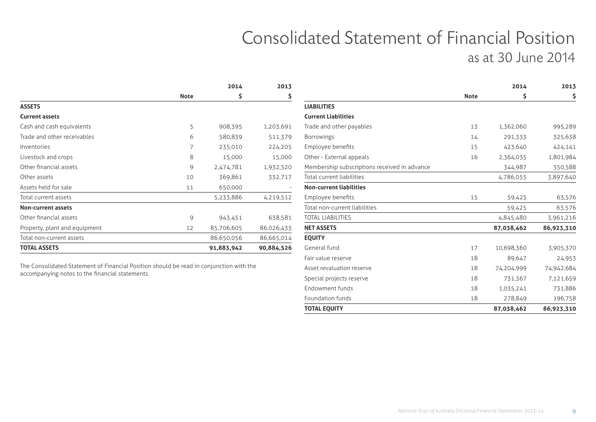## Consolidated Statement of Financial Position as at 30 June 2014

|                               |             | 2014       | 2013       |
|-------------------------------|-------------|------------|------------|
|                               | <b>Note</b> | \$         | \$         |
| <b>ASSETS</b>                 |             |            |            |
| <b>Current assets</b>         |             |            |            |
| Cash and cash equivalents     | 5           | 908,395    | 1,203,691  |
| Trade and other receivables   | 6           | 580,839    | 511,379    |
| Inventories                   | 7           | 235,010    | 224,205    |
| Livestock and crops           | 8           | 15,000     | 15,000     |
| Other financial assets        | 9           | 2,474,781  | 1,932,520  |
| Other assets                  | 10          | 369,861    | 332,717    |
| Assets held for sale          | 11          | 650,000    |            |
| Total current assets          |             | 5,233,886  | 4,219,512  |
| <b>Non-current assets</b>     |             |            |            |
| Other financial assets        | 9           | 943,451    | 638,581    |
| Property, plant and equipment | 12          | 85,706,605 | 86,026,433 |
| Total non-current assets      |             | 86,650,056 | 86,665,014 |
| <b>TOTAL ASSETS</b>           |             | 91,883,942 | 90,884,526 |

The Consolidated Statement of Financial Position should be read in conjunction with the accompanying notes to the financial statements.

|                                              |             | 2014       | 2013       |
|----------------------------------------------|-------------|------------|------------|
|                                              | <b>Note</b> | \$         | \$         |
| <b>LIABILITIES</b>                           |             |            |            |
| <b>Current Liabilities</b>                   |             |            |            |
| Trade and other payables                     | 13          | 1,362,060  | 995,289    |
| Borrowings                                   | 14          | 291,333    | 325,638    |
| Employee benefits                            | 15          | 423,640    | 424,141    |
| Other - External appeals                     | 16          | 2,364,035  | 1,801,984  |
| Membership subscriptions received in advance |             | 344,987    | 350,588    |
| Total current liabilities                    |             | 4,786,055  | 3,897,640  |
| <b>Non-current liabilities</b>               |             |            |            |
| Employee benefits                            | 15          | 59,425     | 63,576     |
| Total non-current liabilities                |             | 59,425     | 63,576     |
| <b>TOTAL LIABILITIES</b>                     |             | 4,845,480  | 3,961,216  |
| <b>NET ASSETS</b>                            |             | 87,038,462 | 86,923,310 |
| <b>EOUITY</b>                                |             |            |            |
| General fund                                 | 17          | 10,698,360 | 3,905,370  |
| Fair value reserve                           | 18          | 89,647     | 24,953     |
| Asset revaluation reserve                    | 18          | 74,204,999 | 74,942,684 |
| Special projects reserve                     | 18          | 731,367    | 7,121,659  |
| Endowment funds                              | 18          | 1,035,241  | 731,886    |
| Foundation funds                             | 18          | 278,849    | 196,758    |
| <b>TOTAL EQUITY</b>                          |             | 87,038,462 | 86,923,310 |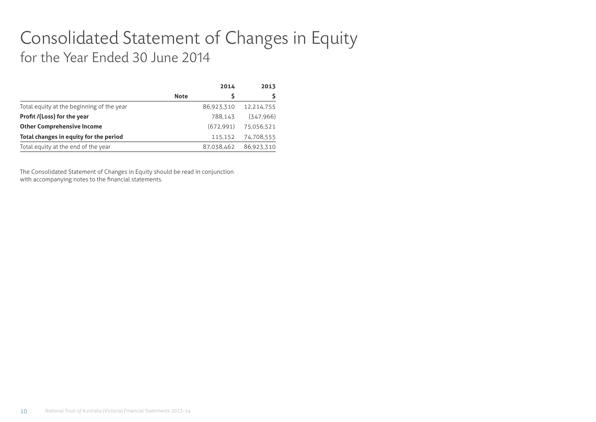## Consolidated Statement of Changes in Equity for the Year Ended 30 June 2014

|                                           |             | 2014       | 2013       |
|-------------------------------------------|-------------|------------|------------|
|                                           | <b>Note</b> |            |            |
| Total equity at the beginning of the year |             | 86,923,310 | 12,214,755 |
| Profit /(Loss) for the year               |             | 788.143    | (347.966)  |
| <b>Other Comprehensive Income</b>         |             | (672.991)  | 75,056,521 |
| Total changes in equity for the period    |             | 115,152    | 74.708.555 |
| Total equity at the end of the year       |             | 87,038,462 | 86.923.310 |

The Consolidated Statement of Changes in Equity should be read in conjunction with accompanying notes to the financial statements.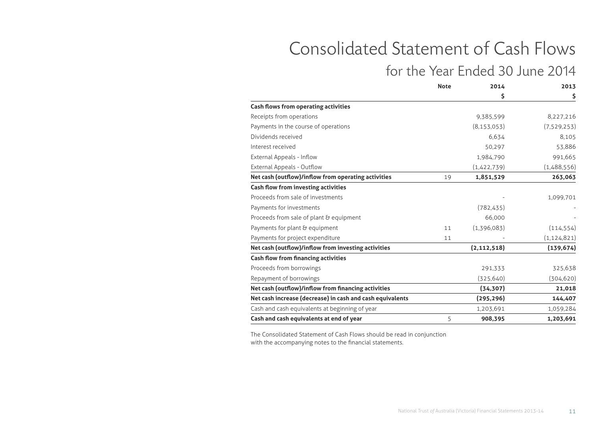## Consolidated Statement of Cash Flows

## for the Year Ended 30 June 2014

|                                                           | <b>Note</b> | 2014          | 2013          |
|-----------------------------------------------------------|-------------|---------------|---------------|
|                                                           |             | \$            | \$            |
| <b>Cash flows from operating activities</b>               |             |               |               |
| Receipts from operations                                  |             | 9,385,599     | 8,227,216     |
| Payments in the course of operations                      |             | (8, 153, 053) | (7,529,253)   |
| Dividends received                                        |             | 6,634         | 8,105         |
| Interest received                                         |             | 50,297        | 53,886        |
| External Appeals - Inflow                                 |             | 1,984,790     | 991,665       |
| External Appeals - Outflow                                |             | (1,422,739)   | (1,488,556)   |
| Net cash (outflow)/inflow from operating activities       | 19          | 1,851,529     | 263,063       |
| <b>Cash flow from investing activities</b>                |             |               |               |
| Proceeds from sale of investments                         |             |               | 1,099,701     |
| Payments for investments                                  |             | (782, 435)    |               |
| Proceeds from sale of plant & equipment                   |             | 66,000        |               |
| Payments for plant & equipment                            | 11          | (1,396,083)   | (114, 554)    |
| Payments for project expenditure                          | 11          |               | (1, 124, 821) |
| Net cash (outflow)/inflow from investing activities       |             | (2, 112, 518) | (139, 674)    |
| <b>Cash flow from financing activities</b>                |             |               |               |
| Proceeds from borrowings                                  |             | 291,333       | 325,638       |
| Repayment of borrowings                                   |             | (325, 640)    | (304, 620)    |
| Net cash (outflow)/inflow from financing activities       |             | (34, 307)     | 21,018        |
| Net cash increase (decrease) in cash and cash equivalents |             | (295, 296)    | 144,407       |
| Cash and cash equivalents at beginning of year            |             | 1,203,691     | 1,059,284     |
| Cash and cash equivalents at end of year                  | 5           | 908,395       | 1,203,691     |

The Consolidated Statement of Cash Flows should be read in conjunction with the accompanying notes to the financial statements.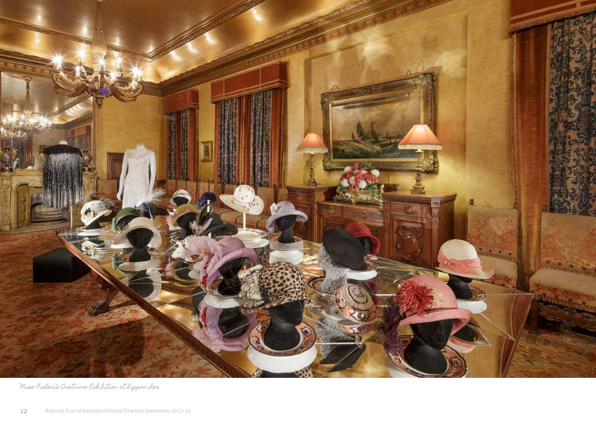

Miss Fisher's Costume Exhibition at Rippon Lea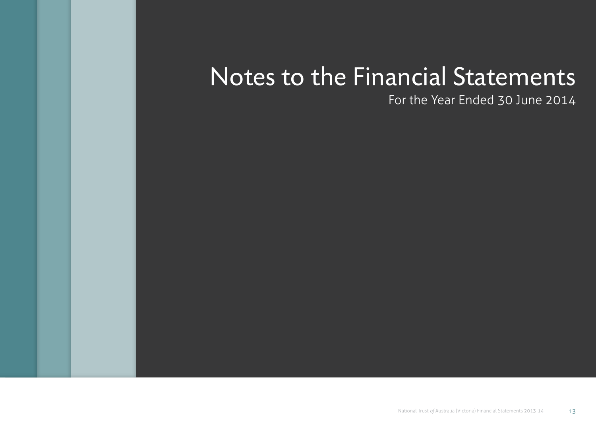# Notes to the Financial Statements

For the Year Ended 30 June 2014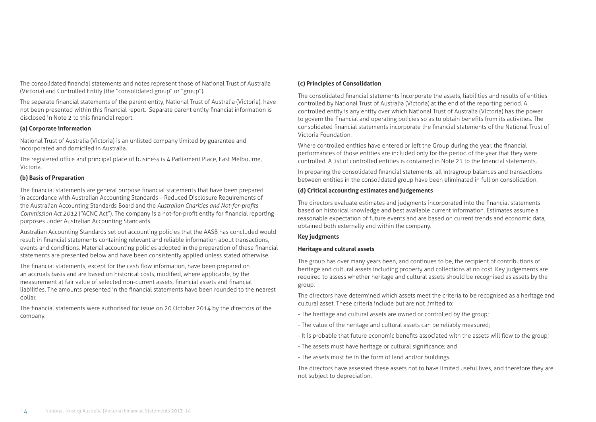The consolidated financial statements and notes represent those of National Trust of Australia (Victoria) and Controlled Entity (the "consolidated group" or "group").

The separate financial statements of the parent entity, National Trust of Australia (Victoria), have not been presented within this financial report. Separate parent entity financial information is disclosed in Note 2 to this financial report.

#### **(a) Corporate information**

National Trust of Australia (Victoria) is an unlisted company limited by guarantee and incorporated and domiciled in Australia.

The registered office and principal place of business is 4 Parliament Place, East Melbourne, Victoria.

#### **(b) Basis of Preparation**

The financial statements are general purpose financial statements that have been prepared in accordance with Australian Accounting Standards – Reduced Disclosure Requirements of the Australian Accounting Standards Board and the *Australian Charities and Not-for-profits Commission Act 2012* ("ACNC Act"). The company is a not-for-profit entity for financial reporting purposes under Australian Accounting Standards.

Australian Accounting Standards set out accounting policies that the AASB has concluded would result in financial statements containing relevant and reliable information about transactions, events and conditions. Material accounting policies adopted in the preparation of these financial statements are presented below and have been consistently applied unless stated otherwise.

The financial statements, except for the cash flow information, have been prepared on an accruals basis and are based on historical costs, modified, where applicable, by the measurement at fair value of selected non-current assets, financial assets and financial liabilities. The amounts presented in the financial statements have been rounded to the nearest dollar.

The financial statements were authorised for issue on 20 October 2014 by the directors of the company.

#### **(c) Principles of Consolidation**

The consolidated financial statements incorporate the assets, liabilities and results of entities controlled by National Trust of Australia (Victoria) at the end of the reporting period. A controlled entity is any entity over which National Trust of Australia (Victoria) has the power to govern the financial and operating policies so as to obtain benefits from its activities. The consolidated financial statements incorporate the financial statements of the National Trust of Victoria Foundation.

Where controlled entities have entered or left the Group during the year, the financial performances of those entities are included only for the period of the year that they were controlled. A list of controlled entities is contained in Note 21 to the financial statements.

In preparing the consolidated financial statements, all intragroup balances and transactions between entities in the consolidated group have been eliminated in full on consolidation.

#### **(d) Critical accounting estimates and judgements**

The directors evaluate estimates and judgments incorporated into the financial statements based on historical knowledge and best available current information. Estimates assume a reasonable expectation of future events and are based on current trends and economic data, obtained both externally and within the company.

#### **Key judgments**

#### **Heritage and cultural assets**

The group has over many years been, and continues to be, the recipient of contributions of heritage and cultural assets including property and collections at no cost. Key judgements are required to assess whether heritage and cultural assets should be recognised as assets by the group.

The directors have determined which assets meet the criteria to be recognised as a heritage and cultural asset. These criteria include but are not limited to:

- The heritage and cultural assets are owned or controlled by the group;
- The value of the heritage and cultural assets can be reliably measured;
- It is probable that future economic benefits associated with the assets will flow to the group;
- The assets must have heritage or cultural significance; and
- The assets must be in the form of land and/or buildings.

The directors have assessed these assets not to have limited useful lives, and therefore they are not subject to depreciation.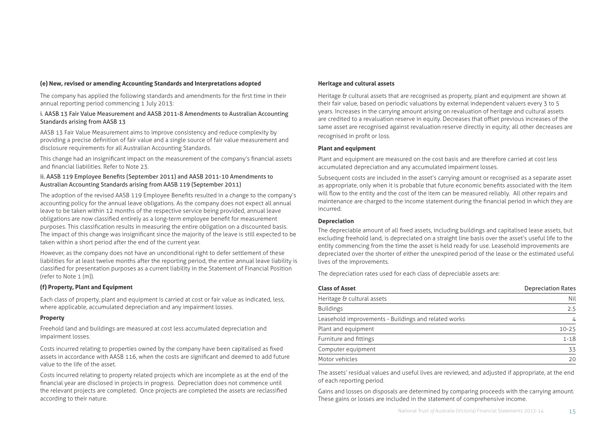#### **(e) New, revised or amending Accounting Standards and Interpretations adopted**

The company has applied the following standards and amendments for the first time in their annual reporting period commencing 1 July 2013:

#### i. AASB 13 Fair Value Measurement and AASB 2011-8 Amendments to Australian Accounting Standards arising from AASB 13

AASB 13 Fair Value Measurement aims to improve consistency and reduce complexity by providing a precise definition of fair value and a single source of fair value measurement and disclosure requirements for all Australian Accounting Standards.

This change had an insignificant impact on the measurement of the company's financial assets and financial liabilities. Refer to Note 23.

#### ii. AASB 119 Employee Benefits (September 2011) and AASB 2011-10 Amendments to Australian Accounting Standards arising from AASB 119 (September 2011)

The adoption of the revised AASB 119 Employee Benefits resulted in a change to the company's accounting policy for the annual leave obligations. As the company does not expect all annual leave to be taken within 12 months of the respective service being provided, annual leave obligations are now classified entirely as a long-term employee benefit for measurement purposes. This classification results in measuring the entire obligation on a discounted basis. The impact of this change was insignificant since the majority of the leave is still expected to be taken within a short period after the end of the current year.

However, as the company does not have an unconditional right to defer settlement of these liabilities for at least twelve months after the reporting period, the entire annual leave liability is classified for presentation purposes as a current liability in the Statement of Financial Position (refer to Note 1 (m)).

#### **(f) Property, Plant and Equipment**

Each class of property, plant and equipment is carried at cost or fair value as indicated, less, where applicable, accumulated depreciation and any impairment losses.

#### **Property**

Freehold land and buildings are measured at cost less accumulated depreciation and impairment losses.

Costs incurred relating to properties owned by the company have been capitalised as fixed assets in accordance with AASB 116, when the costs are significant and deemed to add future value to the life of the asset.

Costs incurred relating to property related projects which are incomplete as at the end of the financial year are disclosed in projects in progress. Depreciation does not commence until the relevant projects are completed. Once projects are completed the assets are reclassified according to their nature.

#### **Heritage and cultural assets**

Heritage & cultural assets that are recognised as property, plant and equipment are shown at their fair value, based on periodic valuations by external independent valuers every 3 to 5 years. Increases in the carrying amount arising on revaluation of heritage and cultural assets are credited to a revaluation reserve in equity. Decreases that offset previous increases of the same asset are recognised against revaluation reserve directly in equity; all other decreases are recognised in profit or loss.

#### **Plant and equipment**

Plant and equipment are measured on the cost basis and are therefore carried at cost less accumulated depreciation and any accumulated impairment losses.

Subsequent costs are included in the asset's carrying amount or recognised as a separate asset as appropriate, only when it is probable that future economic benefits associated with the item will flow to the entity and the cost of the item can be measured reliably. All other repairs and maintenance are charged to the income statement during the financial period in which they are incurred.

#### **Depreciation**

The depreciable amount of all fixed assets, including buildings and capitalised lease assets, but excluding freehold land, is depreciated on a straight line basis over the asset's useful life to the entity commencing from the time the asset is held ready for use. Leasehold improvements are depreciated over the shorter of either the unexpired period of the lease or the estimated useful lives of the improvements.

The depreciation rates used for each class of depreciable assets are:

| <b>Class of Asset</b>                                | <b>Depreciation Rates</b> |
|------------------------------------------------------|---------------------------|
| Heritage & cultural assets                           | Nil                       |
| <b>Buildings</b>                                     | 2.5                       |
| Leasehold improvements - Buildings and related works | 4                         |
| Plant and equipment                                  | $10 - 25$                 |
| Furniture and fittings                               | $1 - 18$                  |
| Computer equipment                                   | 33                        |
| Motor vehicles                                       | 20                        |

The assets' residual values and useful lives are reviewed, and adjusted if appropriate, at the end of each reporting period.

Gains and losses on disposals are determined by comparing proceeds with the carrying amount. These gains or losses are included in the statement of comprehensive income.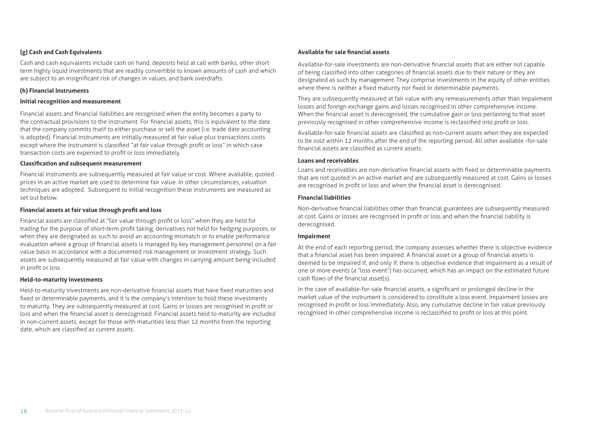#### **(g) Cash and Cash Equivalents**

Cash and cash equivalents include cash on hand, deposits held at call with banks, other short term highly liquid investments that are readily convertible to known amounts of cash and which are subject to an insignificant risk of changes in values, and bank overdrafts.

#### **(h) Financial Instruments**

#### **Initial recognition and measurement**

Financial assets and financial liabilities are recognised when the entity becomes a party to the contractual provisions to the instrument. For financial assets, this is equivalent to the date that the company commits itself to either purchase or sell the asset (i.e. trade date accounting is adopted). Financial instruments are initially measured at fair value plus transactions costs except where the instrument is classified "at fair value through profit or loss" in which case transaction costs are expensed to profit or loss immediately.

#### **Classification and subsequent measurement**

Financial instruments are subsequently measured at fair value or cost. Where available, quoted prices in an active market are used to determine fair value. In other circumstances, valuation techniques are adopted. Subsequent to initial recognition these instruments are measured as set out below.

#### **Financial assets at fair value through profit and loss**

Financial assets are classified at "fair value through profit or loss" when they are held for trading for the purpose of short-term profit taking, derivatives not held for hedging purposes, or when they are designated as such to avoid an accounting mismatch or to enable performance evaluation where a group of financial assets is managed by key management personnel on a fair value basis in accordance with a documented risk management or investment strategy. Such assets are subsequently measured at fair value with changes in carrying amount being included in profit or loss.

#### **Held-to-maturity investments**

Held-to-maturity investments are non-derivative financial assets that have fixed maturities and fixed or determinable payments, and it is the company's intention to hold these investments to maturity. They are subsequently measured at cost. Gains or losses are recognised in profit or loss and when the financial asset is derecognised. Financial assets held to maturity are included in non-current assets, except for those with maturities less than 12 months from the reporting date, which are classified as current assets.

#### **Available for sale financial assets**

Available-for-sale investments are non-derivative financial assets that are either not capable of being classified into other categories of financial assets due to their nature or they are designated as such by management. They comprise investments in the equity of other entities where there is neither a fixed maturity nor fixed or determinable payments.

They are subsequently measured at fair value with any remeasurements other than impairment losses and foreign exchange gains and losses recognised in other comprehensive income. When the financial asset is derecognised, the cumulative gain or loss pertaining to that asset previously recognised in other comprehensive income is reclassified into profit or loss.

Available-for-sale financial assets are classified as non-current assets when they are expected to be sold within 12 months after the end of the reporting period. All other available -for-sale financial assets are classified as current assets.

#### **Loans and receivables**

Loans and receivables are non-derivative financial assets with fixed or determinable payments that are not quoted in an active market and are subsequently measured at cost. Gains or losses are recognised in profit or loss and when the financial asset is derecognised.

#### **Financial liabilities**

Non-derivative financial liabilities other than financial guarantees are subsequently measured at cost. Gains or losses are recognised in profit or loss and when the financial liability is derecognised.

#### **Impairment**

At the end of each reporting period, the company assesses whether there is objective evidence that a financial asset has been impaired. A financial asset or a group of financial assets is deemed to be impaired if, and only if, there is objective evidence that impairment as a result of one or more events (a "loss event") has occurred, which has an impact on the estimated future cash flows of the financial asset(s).

In the case of available-for-sale financial assets, a significant or prolonged decline in the market value of the instrument is considered to constitute a loss event. Impairment losses are recognised in profit or loss immediately. Also, any cumulative decline in fair value previously recognised in other comprehensive income is reclassified to profit or loss at this point.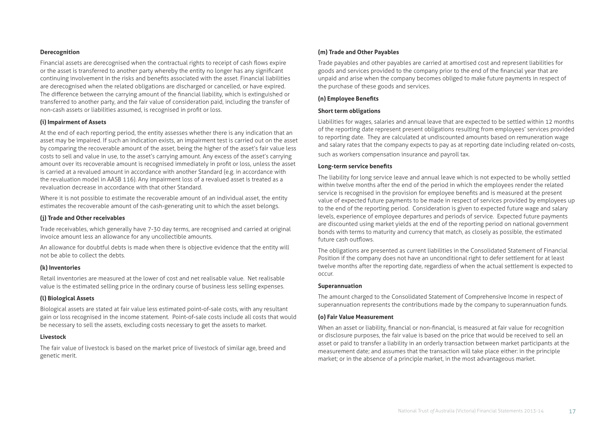#### **Derecognition**

Financial assets are derecognised when the contractual rights to receipt of cash flows expire or the asset is transferred to another party whereby the entity no longer has any significant continuing involvement in the risks and benefits associated with the asset. Financial liabilities are derecognised when the related obligations are discharged or cancelled, or have expired. The difference between the carrying amount of the financial liability, which is extinguished or transferred to another party, and the fair value of consideration paid, including the transfer of non-cash assets or liabilities assumed, is recognised in profit or loss.

#### **(i) Impairment of Assets**

At the end of each reporting period, the entity assesses whether there is any indication that an asset may be impaired. If such an indication exists, an impairment test is carried out on the asset by comparing the recoverable amount of the asset, being the higher of the asset's fair value less costs to sell and value in use, to the asset's carrying amount. Any excess of the asset's carrying amount over its recoverable amount is recognised immediately in profit or loss, unless the asset is carried at a revalued amount in accordance with another Standard (e.g. in accordance with the revaluation model in AASB 116). Any impairment loss of a revalued asset is treated as a revaluation decrease in accordance with that other Standard.

Where it is not possible to estimate the recoverable amount of an individual asset, the entity estimates the recoverable amount of the cash-generating unit to which the asset belongs.

#### **(j) Trade and Other receivables**

Trade receivables, which generally have 7-30 day terms, are recognised and carried at original invoice amount less an allowance for any uncollectible amounts.

An allowance for doubtful debts is made when there is objective evidence that the entity will not be able to collect the debts.

#### **(k) Inventories**

Retail inventories are measured at the lower of cost and net realisable value. Net realisable value is the estimated selling price in the ordinary course of business less selling expenses.

#### **(l) Biological Assets**

Biological assets are stated at fair value less estimated point-of-sale costs, with any resultant gain or loss recognised in the income statement. Point-of-sale costs include all costs that would be necessary to sell the assets, excluding costs necessary to get the assets to market.

#### **Livestock**

The fair value of livestock is based on the market price of livestock of similar age, breed and genetic merit.

#### **(m) Trade and Other Payables**

Trade payables and other payables are carried at amortised cost and represent liabilities for goods and services provided to the company prior to the end of the financial year that are unpaid and arise when the company becomes obliged to make future payments in respect of the purchase of these goods and services.

#### **(n) Employee Benefits**

#### **Short term obligations**

Liabilities for wages, salaries and annual leave that are expected to be settled within 12 months of the reporting date represent present obligations resulting from employees' services provided to reporting date. They are calculated at undiscounted amounts based on remuneration wage and salary rates that the company expects to pay as at reporting date including related on-costs, such as workers compensation insurance and payroll tax.

#### **Long-term service benefits**

The liability for long service leave and annual leave which is not expected to be wholly settled within twelve months after the end of the period in which the employees render the related service is recognised in the provision for employee benefits and is measured at the present value of expected future payments to be made in respect of services provided by employees up to the end of the reporting period. Consideration is given to expected future wage and salary levels, experience of employee departures and periods of service. Expected future payments are discounted using market yields at the end of the reporting period on national government bonds with terms to maturity and currency that match, as closely as possible, the estimated future cash outflows.

The obligations are presented as current liabilities in the Consolidated Statement of Financial Position if the company does not have an unconditional right to defer settlement for at least twelve months after the reporting date, regardless of when the actual settlement is expected to occur.

#### **Superannuation**

The amount charged to the Consolidated Statement of Comprehensive Income in respect of superannuation represents the contributions made by the company to superannuation funds.

#### **(o) Fair Value Measurement**

When an asset or liability, financial or non-financial, is measured at fair value for recognition or disclosure purposes, the fair value is based on the price that would be received to sell an asset or paid to transfer a liability in an orderly transaction between market participants at the measurement date; and assumes that the transaction will take place either: in the principle market; or in the absence of a principle market, in the most advantageous market.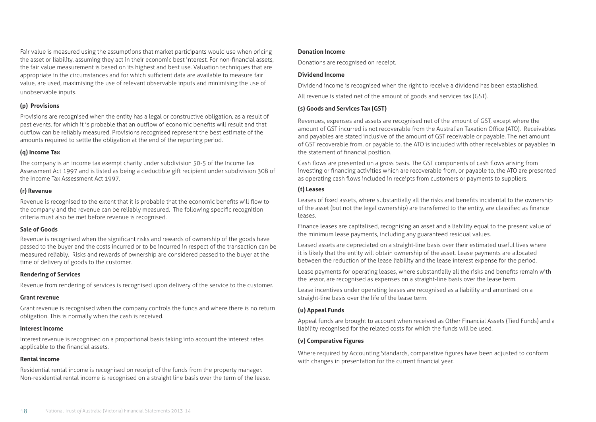Fair value is measured using the assumptions that market participants would use when pricing the asset or liability, assuming they act in their economic best interest. For non-financial assets, the fair value measurement is based on its highest and best use. Valuation techniques that are appropriate in the circumstances and for which sufficient data are available to measure fair value, are used, maximising the use of relevant observable inputs and minimising the use of unobservable inputs.

#### **(p) Provisions**

Provisions are recognised when the entity has a legal or constructive obligation, as a result of past events, for which it is probable that an outflow of economic benefits will result and that outflow can be reliably measured. Provisions recognised represent the best estimate of the amounts required to settle the obligation at the end of the reporting period.

#### **(q) Income Tax**

The company is an income tax exempt charity under subdivision 50-5 of the Income Tax Assessment Act 1997 and is listed as being a deductible gift recipient under subdivision 30B of the Income Tax Assessment Act 1997.

#### **(r) Revenue**

Revenue is recognised to the extent that it is probable that the economic benefits will flow to the company and the revenue can be reliably measured. The following specific recognition criteria must also be met before revenue is recognised.

#### **Sale of Goods**

Revenue is recognised when the significant risks and rewards of ownership of the goods have passed to the buyer and the costs incurred or to be incurred in respect of the transaction can be measured reliably. Risks and rewards of ownership are considered passed to the buyer at the time of delivery of goods to the customer.

#### **Rendering of Services**

Revenue from rendering of services is recognised upon delivery of the service to the customer.

#### **Grant revenue**

Grant revenue is recognised when the company controls the funds and where there is no return obligation. This is normally when the cash is received.

#### **Interest Income**

Interest revenue is recognised on a proportional basis taking into account the interest rates applicable to the financial assets.

#### **Rental income**

Residential rental income is recognised on receipt of the funds from the property manager. Non-residential rental income is recognised on a straight line basis over the term of the lease.

#### **Donation Income**

Donations are recognised on receipt.

#### **Dividend Income**

Dividend income is recognised when the right to receive a dividend has been established.

All revenue is stated net of the amount of goods and services tax (GST).

### **(s) Goods and Services Tax (GST)**

Revenues, expenses and assets are recognised net of the amount of GST, except where the amount of GST incurred is not recoverable from the Australian Taxation Office (ATO). Receivables and payables are stated inclusive of the amount of GST receivable or payable. The net amount of GST recoverable from, or payable to, the ATO is included with other receivables or payables in the statement of financial position.

Cash flows are presented on a gross basis. The GST components of cash flows arising from investing or financing activities which are recoverable from, or payable to, the ATO are presented as operating cash flows included in receipts from customers or payments to suppliers.

#### **(t) Leases**

Leases of fixed assets, where substantially all the risks and benefits incidental to the ownership of the asset (but not the legal ownership) are transferred to the entity, are classified as finance leases.

Finance leases are capitalised, recognising an asset and a liability equal to the present value of the minimum lease payments, including any guaranteed residual values.

Leased assets are depreciated on a straight-line basis over their estimated useful lives where it is likely that the entity will obtain ownership of the asset. Lease payments are allocated between the reduction of the lease liability and the lease interest expense for the period.

Lease payments for operating leases, where substantially all the risks and benefits remain with the lessor, are recognised as expenses on a straight-line basis over the lease term.

Lease incentives under operating leases are recognised as a liability and amortised on a straight-line basis over the life of the lease term.

#### **(u) Appeal Funds**

Appeal funds are brought to account when received as Other Financial Assets (Tied Funds) and a liability recognised for the related costs for which the funds will be used.

### **(v) Comparative Figures**

Where required by Accounting Standards, comparative figures have been adjusted to conform with changes in presentation for the current financial year.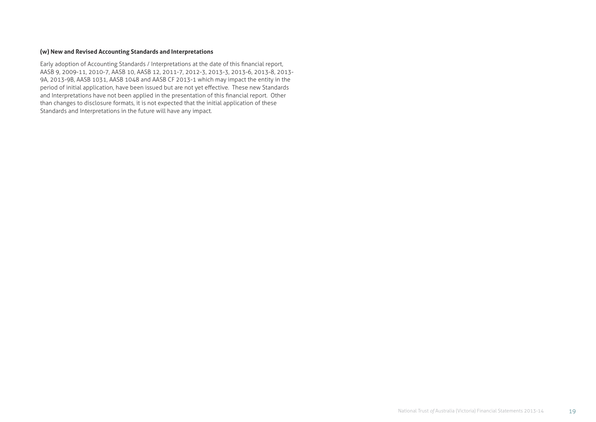#### **(w) New and Revised Accounting Standards and Interpretations**

Early adoption of Accounting Standards / Interpretations at the date of this financial report, AASB 9, 2009-11, 2010-7, AASB 10, AASB 12, 2011-7, 2012-3, 2013-3, 2013-6, 2013-8, 2013- 9A, 2013-9B, AASB 1031, AASB 1048 and AASB CF 2013-1 which may impact the entity in the period of initial application, have been issued but are not yet effective. These new Standards and Interpretations have not been applied in the presentation of this financial report. Other than changes to disclosure formats, it is not expected that the initial application of these Standards and Interpretations in the future will have any impact.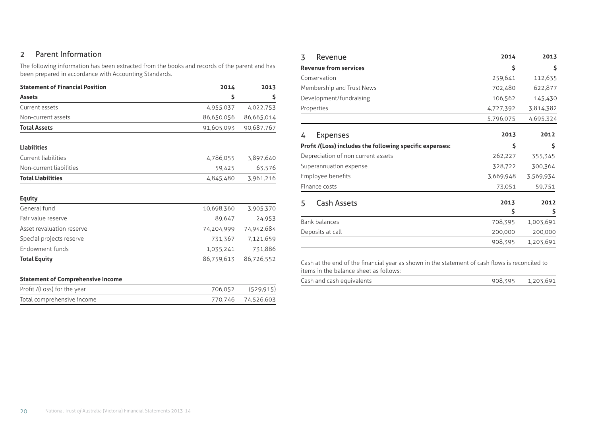## 2 Parent Information

The following information has been extracted from the books and records of the parent and has been prepared in accordance with Accounting Standards.

| <b>Statement of Financial Position</b> | 2014      | 2013                  |
|----------------------------------------|-----------|-----------------------|
| <b>Assets</b>                          |           |                       |
| Current assets                         | 4,955,037 | 4.022.753             |
| Non-current assets                     |           | 86,650,056 86,665,014 |
| <b>Total Assets</b>                    |           | 91,605,093 90,687,767 |

#### **Liabilities**

| <b>Total Liabilities</b> | 4,845,480 | 3.961.216 |
|--------------------------|-----------|-----------|
| Non-current liabilities  | 59.425    | 63.576    |
| Current liabilities      | 4.786.055 | 3.897.640 |

#### **Equity**

| <b>Total Equity</b>       | 86.759.613 | 86,726,552 |
|---------------------------|------------|------------|
| Endowment funds           | 1,035,241  | 731,886    |
| Special projects reserve  | 731,367    | 7,121,659  |
| Asset revaluation reserve | 74.204.999 | 74,942,684 |
| Fair value reserve        | 89.647     | 24.953     |
| General fund              | 10,698,360 | 3,905,370  |
|                           |            |            |

#### **Statement of Comprehensive Income**

| Profit /(Loss) for the year | 706,052 (529,915)  |
|-----------------------------|--------------------|
| Total comprehensive income  | 770,746 74,526,603 |

| 3 | Revenue                                                  | 2014      | 2013      |
|---|----------------------------------------------------------|-----------|-----------|
|   | <b>Revenue from services</b>                             | \$        | \$        |
|   | Conservation                                             | 259,641   | 112,635   |
|   | Membership and Trust News                                | 702,480   | 622,877   |
|   | Development/fundraising                                  | 106,562   | 145,430   |
|   | Properties                                               | 4,727,392 | 3,814,382 |
|   |                                                          | 5,796,075 | 4,695,324 |
| 4 | <b>Expenses</b>                                          | 2013      | 2012      |
|   | Profit /(Loss) includes the following specific expenses: | \$        | Ş         |
|   | Depreciation of non current assets                       | 262,227   | 355,345   |
|   | Superannuation expense                                   | 328,722   | 300,364   |
|   | Employee benefits                                        | 3,669,948 | 3,569,934 |
|   | Finance costs                                            | 73,051    | 59,751    |
| 5 | <b>Cash Assets</b>                                       | 2013      | 2012      |
|   |                                                          | \$        | \$        |
|   | <b>Bank balances</b>                                     | 708,395   | 1,003,691 |
|   | Deposits at call                                         | 200,000   | 200,000   |
|   |                                                          | 908,395   | 1,203,691 |
|   |                                                          |           |           |

Cash at the end of the financial year as shown in the statement of cash flows is reconciled to items in the balance sheet as follows:

| Cash and cash equivalents | 908,395 1,203,691 |
|---------------------------|-------------------|
|                           |                   |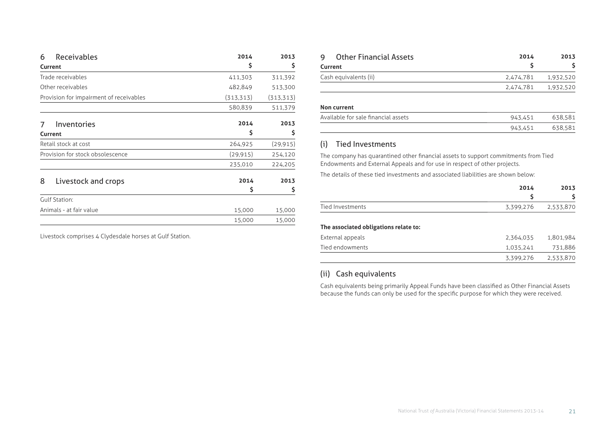| 6       | <b>Receivables</b>                      | 2014       | 2013       |
|---------|-----------------------------------------|------------|------------|
| Current |                                         | Ş          | \$         |
|         | Trade receivables                       | 411,303    | 311,392    |
|         | Other receivables                       | 482,849    | 513,300    |
|         | Provision for impairment of receivables | (313, 313) | (313, 313) |
|         |                                         | 580,839    | 511,379    |
|         | Inventories                             | 2014       | 2013       |
|         | Current                                 | \$         | \$         |
|         | Retail stock at cost                    | 264,925    | (29, 915)  |
|         | Provision for stock obsolescence        | (29, 915)  | 254,120    |
|         |                                         | 235,010    | 224,205    |
| 8       | Livestock and crops                     | 2014       | 2013       |
|         |                                         | \$         | \$         |
|         | <b>Gulf Station:</b>                    |            |            |
|         | Animals - at fair value                 | 15,000     | 15,000     |
|         |                                         | 15,000     | 15,000     |

Livestock comprises 4 Clydesdale horses at Gulf Station.

| 9 Other Financial Assets | 2014 | 2013                |
|--------------------------|------|---------------------|
| Current                  |      |                     |
| Cash equivalents (ii)    |      | 2,474,781 1,932,520 |
|                          |      | 2,474,781 1,932,520 |

#### **Non current**

| Available for sale financial assets | 943,451 | 638,581 |
|-------------------------------------|---------|---------|
|                                     | 943,451 | 638,581 |

## (i) Tied Investments

The company has quarantined other financial assets to support commitments from Tied Endowments and External Appeals and for use in respect of other projects.

The details of these tied investments and associated liabilities are shown below:

|                                       | 2014<br>S | 2013      |
|---------------------------------------|-----------|-----------|
|                                       |           |           |
| Tied Investments                      | 3,399,276 | 2,533,870 |
| The associated obligations relate to: |           |           |
| External appeals                      | 2,364,035 | 1,801,984 |
| Tied endowments                       | 1,035,241 | 731,886   |

## (ii) Cash equivalents

Cash equivalents being primarily Appeal Funds have been classified as Other Financial Assets because the funds can only be used for the specific purpose for which they were received.

3,399,276 2,533,870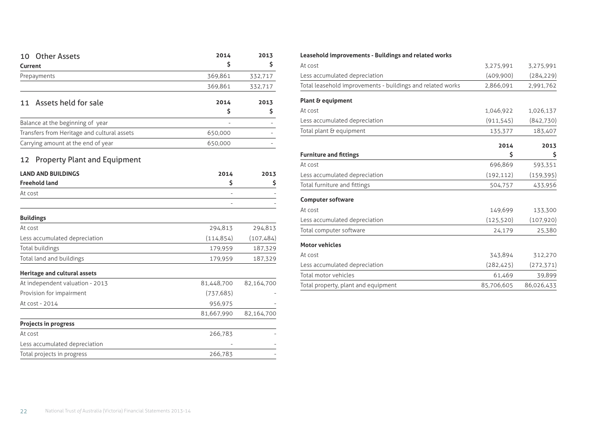| <b>Other Assets</b><br>10                   | 2014       | 2013       |
|---------------------------------------------|------------|------------|
| Current                                     | S          | S          |
| Prepayments                                 | 369,861    | 332,717    |
|                                             | 369,861    | 332,717    |
| Assets held for sale<br>11                  | 2014       | 2013       |
|                                             | \$         | \$         |
| Balance at the beginning of year            |            |            |
| Transfers from Heritage and cultural assets | 650,000    |            |
| Carrying amount at the end of year          | 650,000    |            |
| <b>Property Plant and Equipment</b><br>12   |            |            |
| <b>LAND AND BUILDINGS</b>                   | 2014       | 2013       |
| <b>Freehold land</b>                        | \$         | \$         |
| At cost                                     |            |            |
| <b>Buildings</b>                            |            |            |
| At cost                                     | 294,813    | 294,813    |
| Less accumulated depreciation               | (114, 854) | (107,484)  |
| Total buildings                             | 179,959    | 187,329    |
| Total land and buildings                    | 179,959    | 187,329    |
| Heritage and cultural assets                |            |            |
| At independent valuation - 2013             | 81,448,700 | 82,164,700 |
| Provision for impairment                    | (737, 685) |            |
| At cost - 2014                              | 956,975    |            |
|                                             | 81,667,990 | 82,164,700 |
| <b>Projects in progress</b>                 |            |            |
| At cost                                     | 266,783    |            |
| Less accumulated depreciation               |            |            |
| Total projects in progress                  | 266,783    |            |

| At cost                                                    | 3,275,991  | 3,275,991  |
|------------------------------------------------------------|------------|------------|
| Less accumulated depreciation                              | (409,900)  | (284, 229) |
| Total leasehold improvements - buildings and related works | 2,866,091  | 2,991,762  |
| Plant & equipment                                          |            |            |
| At cost                                                    | 1,046,922  | 1,026,137  |
| Less accumulated depreciation                              | (911, 545) | (842,730)  |
| Total plant & equipment                                    | 135,377    | 183,407    |
|                                                            | 2014       | 2013       |
| <b>Furniture and fittings</b>                              | \$         | Ş          |
| At cost                                                    | 696,869    | 593,351    |
| Less accumulated depreciation                              | (192, 112) | (159, 395) |
| Total furniture and fittings                               | 504,757    | 433,956    |
| <b>Computer software</b>                                   |            |            |
| At cost                                                    | 149,699    | 133,300    |
| Less accumulated depreciation                              | (125, 520) | (107, 920) |
| Total computer software                                    | 24,179     | 25,380     |
| <b>Motor vehicles</b>                                      |            |            |
| At cost                                                    | 343,894    | 312,270    |
| Less accumulated depreciation                              | (282, 425) | (272, 371) |
| Total motor vehicles                                       | 61,469     | 39,899     |
| Total property, plant and equipment                        | 85,706,605 | 86,026,433 |

## **Leasehold improvements - Buildings and related works**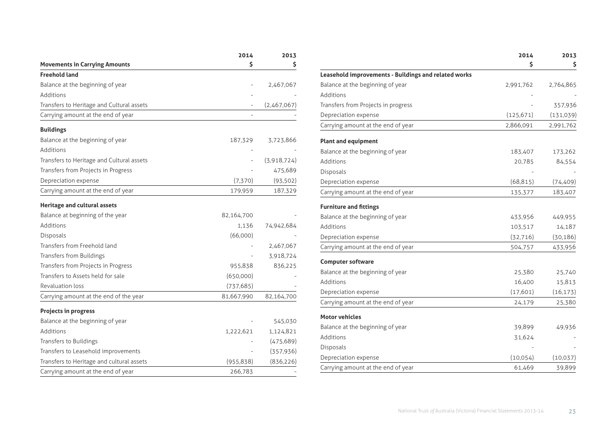|                                           | 2014       | 2013        |
|-------------------------------------------|------------|-------------|
| <b>Movements in Carrying Amounts</b>      | \$         | \$          |
| <b>Freehold land</b>                      |            |             |
| Balance at the beginning of year          |            | 2,467,067   |
| Additions                                 |            |             |
| Transfers to Heritage and Cultural assets |            | (2,467,067) |
| Carrying amount at the end of year        |            |             |
| <b>Buildings</b>                          |            |             |
| Balance at the beginning of year          | 187,329    | 3,723,866   |
| Additions                                 |            |             |
| Transfers to Heritage and Cultural assets |            | (3,918,724) |
| Transfers from Projects in Progress       |            | 475,689     |
| Depreciation expense                      | (7, 370)   | (93, 502)   |
| Carrying amount at the end of year        | 179,959    | 187,329     |
| Heritage and cultural assets              |            |             |
| Balance at beginning of the year          | 82,164,700 |             |
| Additions                                 | 1,136      | 74,942,684  |
| Disposals                                 | (66,000)   |             |
| Transfers from Freehold land              |            | 2,467,067   |
| Transfers from Buildings                  |            | 3,918,724   |
| Transfers from Projects in Progress       | 955,838    | 836,225     |
| Transfers to Assets held for sale         | (650,000)  |             |
| Revaluation loss                          | (737, 685) |             |
| Carrying amount at the end of the year    | 81,667,990 | 82,164,700  |
| <b>Projects in progress</b>               |            |             |
| Balance at the beginning of year          |            | 545,030     |
| Additions                                 | 1,222,621  | 1,124,821   |
| Transfers to Buildings                    |            | (475, 689)  |
| Transfers to Leasehold improvements       |            | (357, 936)  |
| Transfers to Heritage and cultural assets | (955, 838) | (836, 226)  |
| Carrying amount at the end of year        | 266,783    |             |

|                                                      | 2014       | 2013      |
|------------------------------------------------------|------------|-----------|
|                                                      |            | Ş         |
| Leasehold improvements - Buildings and related works |            |           |
| Balance at the beginning of year                     | 2,991,762  | 2,764,865 |
| Additions                                            |            |           |
| Transfers from Projects in progress                  |            | 357,936   |
| Depreciation expense                                 | (125, 671) | (131,039) |
| Carrying amount at the end of year                   | 2,866,091  | 2,991,762 |
| <b>Plant and equipment</b>                           |            |           |
| Balance at the beginning of year                     | 183,407    | 173,262   |
| Additions                                            | 20,785     | 84,554    |
| Disposals                                            |            |           |
| Depreciation expense                                 | (68, 815)  | (74, 409) |
| Carrying amount at the end of year                   | 135,377    | 183,407   |
| <b>Furniture and fittings</b>                        |            |           |
| Balance at the beginning of year                     | 433,956    | 449,955   |
| Additions                                            | 103,517    | 14,187    |
| Depreciation expense                                 | (32, 716)  | (30, 186) |
| Carrying amount at the end of year                   | 504,757    | 433,956   |
| <b>Computer software</b>                             |            |           |
| Balance at the beginning of year                     | 25,380     | 25,740    |
| Additions                                            | 16,400     | 15,813    |
| Depreciation expense                                 | (17,601)   | (16, 173) |
| Carrying amount at the end of year                   | 24,179     | 25,380    |
| <b>Motor vehicles</b>                                |            |           |
| Balance at the beginning of year                     | 39,899     | 49,936    |
| Additions                                            | 31,624     |           |
| Disposals                                            |            |           |
| Depreciation expense                                 | (10,054)   | (10,037)  |
| Carrying amount at the end of year                   | 61,469     | 39,899    |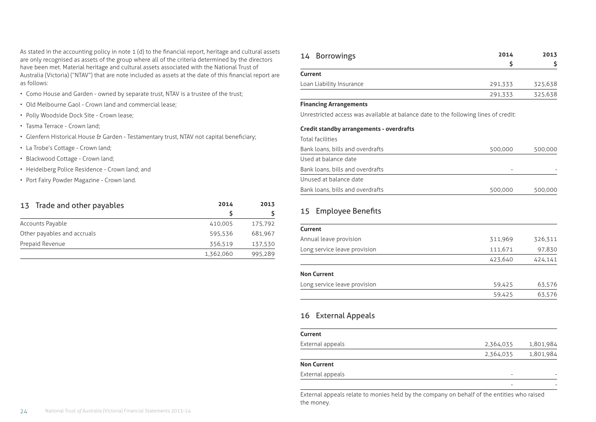As stated in the accounting policy in note 1 (d) to the financial report, heritage and cultural assets are only recognised as assets of the group where all of the criteria determined by the directors have been met. Material heritage and cultural assets associated with the National Trust of Australia (Victoria) ("NTAV") that are note included as assets at the date of this financial report are as follows:

- Como House and Garden owned by separate trust, NTAV is a trustee of the trust;
- Old Melbourne Gaol Crown land and commercial lease;
- Polly Woodside Dock Site Crown lease;
- Tasma Terrace Crown land;
- Glenfern Historical House & Garden Testamentary trust, NTAV not capital beneficiary;
- La Trobe's Cottage Crown land;
- Blackwood Cottage Crown land;
- Heidelberg Police Residence Crown land; and
- Port Fairy Powder Magazine Crown land.

| 13 Trade and other payables | 2014<br>2013 |         |
|-----------------------------|--------------|---------|
|                             |              |         |
| Accounts Payable            | 410,005      | 175,792 |
| Other payables and accruals | 595,536      | 681,967 |
| Prepaid Revenue             | 356,519      | 137,530 |
|                             | 1,362,060    | 995.289 |

## 14 Borrowings **2014 \$ 2013 \$ Current** Loan Liability Insurance 291,333 325,638 291,333 325,638 **Financing Arrangements** Unrestricted access was available at balance date to the following lines of credit: **Credit standby arrangements - overdrafts** Total facilities Bank loans, bills and overdrafts 600,000 500,000 500,000 500,000 500,000 500,000 500,000 500,000 500,000 500,000 500,000 500,000 500,000 500,000 500,000 500,000 500,000 500,000 500,000 500,000 500,000 500,000 500,000 500,0 Used at balance date Bank loans, bills and overdrafts Unused at balance date

Bank loans, bills and overdrafts 500,000 500,000

## 15 Employee Benefits

| Current                      |         |         |
|------------------------------|---------|---------|
| Annual leave provision       | 311,969 | 326,311 |
| Long service leave provision | 111,671 | 97,830  |
|                              | 423,640 | 424,141 |
| <b>Non Current</b>           |         |         |
| Long service leave provision | 59,425  | 63,576  |
|                              | 59,425  | 63,576  |

### 16 External Appeals

| Current            |                          |           |
|--------------------|--------------------------|-----------|
| External appeals   | 2,364,035                | 1,801,984 |
|                    | 2,364,035                | 1,801,984 |
| <b>Non Current</b> |                          |           |
| External appeals   | $\overline{\phantom{0}}$ |           |
|                    | $\overline{\phantom{0}}$ |           |

External appeals relate to monies held by the company on behalf of the entities who raised the money.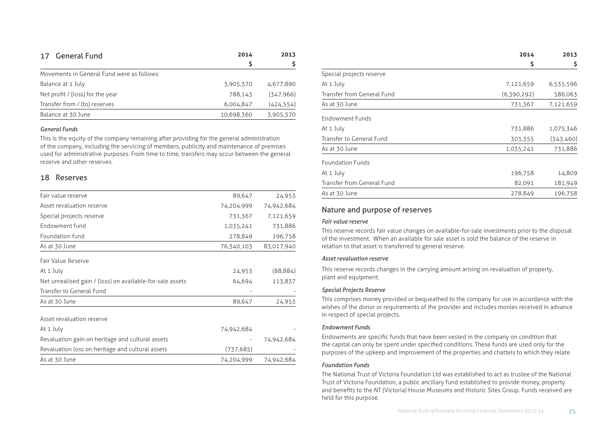| 17 General Fund                            | 2014       | 2013       |
|--------------------------------------------|------------|------------|
| Movements in General Fund were as follows: |            |            |
| Balance at 1 July                          | 3,905,370  | 4,677,890  |
| Net profit / (loss) for the year           | 788.143    | (347.966)  |
| Transfer from / (to) reserves              | 6,004,847  | (424, 554) |
| Balance at 30 June                         | 10,698,360 | 3,905,370  |

#### *General Funds*

This is the equity of the company remaining after providing for the general administration of the company, including the servicing of members, publicity and maintenance of premises used for administrative purposes. From time to time, transfers may occur between the general reserve and other reserves.

## 18 Reserves

| Fair value reserve                                        | 89,647     | 24,953     |
|-----------------------------------------------------------|------------|------------|
| Asset revaluation reserve                                 | 74,204,999 | 74,942,684 |
| Special projects reserve                                  | 731,367    | 7,121,659  |
| Endowment fund                                            | 1,035,241  | 731,886    |
| Foundation fund                                           | 278,849    | 196,758    |
| As at 30 June                                             | 76,340,103 | 83,017,940 |
| Fair Value Reserve                                        |            |            |
| At 1 July                                                 | 24,953     | (88, 884)  |
| Net unrealised gain / (loss) on available-for-sale assets | 64,694     | 113,837    |
| Transfer to General Fund                                  |            |            |
| As at 30 June                                             | 89,647     | 24,953     |
| Asset revaluation reserve                                 |            |            |
| At 1 July                                                 | 74,942,684 |            |
| Revaluation gain on heritage and cultural assets          |            | 74,942,684 |
| Revaluation loss on heritage and cultural assets          | (737, 685) |            |
| As at 30 June                                             | 74,204,999 | 74,942,684 |
|                                                           |            |            |

|                            | 2014        | 2013<br>\$ |
|----------------------------|-------------|------------|
|                            | Ş           |            |
| Special projects reserve   |             |            |
| At 1 July                  | 7,121,659   | 6,535,596  |
| Transfer from General Fund | (6,390,292) | 586,063    |
| As at 30 June              | 731,367     | 7,121,659  |
| <b>Endowment Funds</b>     |             |            |
| At 1 July                  | 731,886     | 1,075,346  |
| Transfer to General Fund   | 303,355     | (343, 460) |
| As at 30 June              | 1,035,241   | 731,886    |
| <b>Foundation Funds</b>    |             |            |
| At 1 July                  | 196,758     | 14,809     |
| Transfer from General Fund | 82,091      | 181,949    |
| As at 30 June              | 278,849     | 196,758    |

## Nature and purpose of reserves

#### *Fair value reserve*

This reserve records fair value changes on available-for-sale investments prior to the disposal of the investment. When an available for sale asset is sold the balance of the reserve in relation to that asset is transferred to general reserve.

#### *Asset revaluation reserve*

This reserve records changes in the carrying amount arising on revaluation of property, plant and equipment.

#### *Special Projects Reserve*

This comprises money provided or bequeathed to the company for use in accordance with the wishes of the donor or requirements of the provider and includes monies received in advance in respect of special projects.

#### *Endowment Funds*

Endowments are specific funds that have been vested in the company on condition that the capital can only be spent under specified conditions. These funds are used only for the purposes of the upkeep and improvement of the properties and chattels to which they relate.

#### *Foundation Funds*

The National Trust of Victoria Foundation Ltd was established to act as trustee of the National Trust of Victoria Foundation, a public ancillary fund established to provide money, property and benefits to the NT (Victoria) House Museums and Historic Sites Group. Funds received are held for this purpose.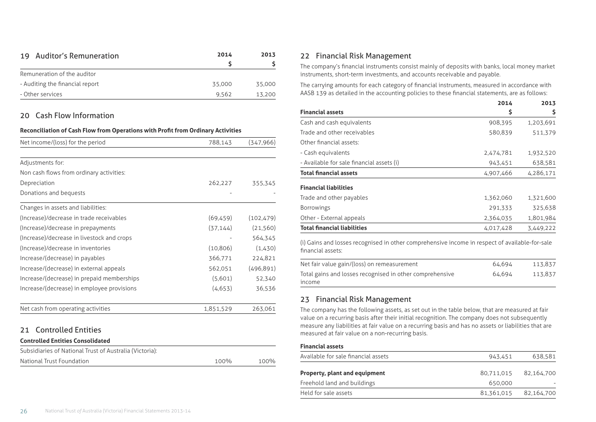| 19 Auditor's Remuneration       | 2014   | 2013   |
|---------------------------------|--------|--------|
|                                 |        |        |
| Remuneration of the auditor     |        |        |
| - Auditing the financial report | 35.000 | 35,000 |
| - Other services                | 9.562  | 13,200 |

## 20 Cash Flow Information

#### **Reconciliation of Cash Flow from Operations with Profit from Ordinary Activities**

| Net income/(loss) for the period           | 788,143   | (347,966)  |
|--------------------------------------------|-----------|------------|
|                                            |           |            |
| Adjustments for:                           |           |            |
| Non cash flows from ordinary activities:   |           |            |
| Depreciation                               | 262,227   | 355,345    |
| Donations and bequests                     |           |            |
| Changes in assets and liabilities:         |           |            |
| (Increase)/decrease in trade receivables   | (69, 459) | (102, 479) |
| (Increase)/decrease in prepayments         | (37, 144) | (21, 560)  |
| (Increase)/decrease in livestock and crops |           | 564,345    |
| (Increase)/decrease in inventories         | (10, 806) | (1,430)    |
| Increase/(decrease) in payables            | 366,771   | 224,821    |
| Increase/(decrease) in external appeals    | 562,051   | (496, 891) |
| Increase/(decrease) in prepaid memberships | (5,601)   | 52,340     |
| Increase/(decrease) in employee provisions | (4, 653)  | 36,536     |
| Net cash from operating activities         | 1,851,529 | 263,061    |

## 21 Controlled Entities

#### **Controlled Entities Consolidated**

| Subsidiaries of National Trust of Australia (Victoria): |      |      |
|---------------------------------------------------------|------|------|
| National Trust Foundation                               | 100% | 100% |

## 22 Financial Risk Management

The company's financial instruments consist mainly of deposits with banks, local money market instruments, short-term investments, and accounts receivable and payable.

The carrying amounts for each category of financial instruments, measured in accordance with AASB 139 as detailed in the accounting policies to these financial statements, are as follows:

|                                           | 2014      | 2013      |
|-------------------------------------------|-----------|-----------|
| <b>Financial assets</b>                   | \$        | Ş         |
| Cash and cash equivalents                 | 908,395   | 1,203,691 |
| Trade and other receivables               | 580,839   | 511,379   |
| Other financial assets:                   |           |           |
| - Cash equivalents                        | 2,474,781 | 1,932,520 |
| - Available for sale financial assets (i) | 943,451   | 638,581   |
| Total financial assets                    | 4,907,466 | 4,286,171 |
| Financial liabilities                     |           |           |
| Trade and other payables                  | 1,362,060 | 1,321,600 |
| Borrowings                                | 291,333   | 325,638   |
| Other - External appeals                  | 2,364,035 | 1,801,984 |
| Total financial liabilities               | 4,017,428 | 3,449,222 |
|                                           |           |           |

(i) Gains and losses recognised in other comprehensive income in respect of available-for-sale financial assets:

| Net fair value gain/(loss) on remeasurement              | 64.694 | 113,837 |
|----------------------------------------------------------|--------|---------|
| Total gains and losses recognised in other comprehensive | 64.694 | 113,837 |
| income                                                   |        |         |

## 23 Financial Risk Management

The company has the following assets, as set out in the table below, that are measured at fair value on a recurring basis after their initial recognition. The company does not subsequently measure any liabilities at fair value on a recurring basis and has no assets or liabilities that are measured at fair value on a non-recurring basis.

#### **Financial assets**

| Available for sale financial assets | 943.451    | 638.581    |
|-------------------------------------|------------|------------|
| Property, plant and equipment       | 80,711,015 | 82.164.700 |
| Freehold land and buildings         | 650,000    |            |
| Held for sale assets                | 81.361.015 | 82.164.700 |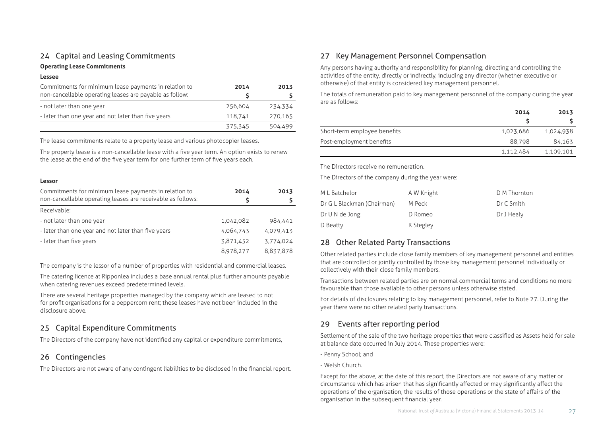## 24 Capital and Leasing Commitments

#### **Operating Lease Commitments**

#### **Lessee**

| Commitments for minimum lease payments in relation to<br>non-cancellable operating leases are payable as follow: | 2014    | 2013    |
|------------------------------------------------------------------------------------------------------------------|---------|---------|
| - not later than one year                                                                                        | 256,604 | 234,334 |
| - later than one year and not later than five years                                                              | 118.741 | 270.165 |
|                                                                                                                  | 375,345 | 504.499 |

The lease commitments relate to a property lease and various photocopier leases.

The property lease is a non-cancellable lease with a five year term. An option exists to renew the lease at the end of the five year term for one further term of five years each.

#### **Lessor**

| Commitments for minimum lease payments in relation to<br>non-cancellable operating leases are receivable as follows: | 2014<br>S | 2013      |
|----------------------------------------------------------------------------------------------------------------------|-----------|-----------|
| Receivable:                                                                                                          |           |           |
| - not later than one year                                                                                            | 1,042,082 | 984.441   |
| - later than one year and not later than five years                                                                  | 4,064,743 | 4,079,413 |
| - later than five years                                                                                              | 3,871,452 | 3,774,024 |
|                                                                                                                      | 8,978,277 | 8,837,878 |

The company is the lessor of a number of properties with residential and commercial leases.

The catering licence at Ripponlea includes a base annual rental plus further amounts payable when catering revenues exceed predetermined levels.

There are several heritage properties managed by the company which are leased to not for profit organisations for a peppercorn rent; these leases have not been included in the disclosure above.

## 25 Capital Expenditure Commitments

The Directors of the company have not identified any capital or expenditure commitments,

## 26 Contingencies

The Directors are not aware of any contingent liabilities to be disclosed in the financial report.

## 27 Key Management Personnel Compensation

Any persons having authority and responsibility for planning, directing and controlling the activities of the entity, directly or indirectly, including any director (whether executive or otherwise) of that entity is considered key management personnel.

The totals of remuneration paid to key management personnel of the company during the year are as follows:

|                              | 2014      | 2013      |
|------------------------------|-----------|-----------|
|                              |           |           |
| Short-term employee benefits | 1,023,686 | 1,024,938 |
| Post-employment benefits     | 88.798    | 84,163    |
|                              | 1,112,484 | 1,109,101 |

The Directors receive no remuneration.

The Directors of the company during the year were:

| M L Batchelor              | A W Knight | D M Thornton |
|----------------------------|------------|--------------|
| Dr G L Blackman (Chairman) | M Peck     | Dr C Smith   |
| Dr U N de Jong             | D Romeo    | Dr J Healy   |
| D Beatty                   | K Stegley  |              |

## 28 Other Related Party Transactions

Other related parties include close family members of key management personnel and entities that are controlled or jointly controlled by those key management personnel individually or collectively with their close family members.

Transactions between related parties are on normal commercial terms and conditions no more favourable than those available to other persons unless otherwise stated.

For details of disclosures relating to key management personnel, refer to Note 27. During the year there were no other related party transactions.

## 29 Events after reporting period

Settlement of the sale of the two heritage properties that were classified as Assets held for sale at balance date occurred in July 2014. These properties were:

- Penny School; and
- Welsh Church.

Except for the above, at the date of this report, the Directors are not aware of any matter or circumstance which has arisen that has significantly affected or may significantly affect the operations of the organisation, the results of those operations or the state of affairs of the organisation in the subsequent financial year.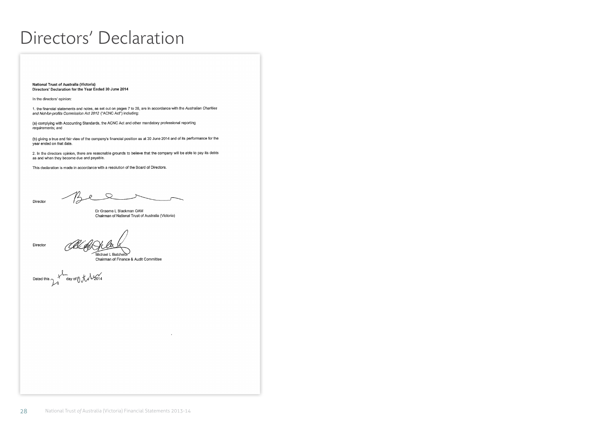## Directors' Declaration

National Trust of Australia (Victoria) Directors' Declaration for the Year Ended 30 June 2014

In the directors' opinion:

Director

1. the financial statements and notes, as set out on pages 7 to 28, are in accordance with the Australian Charities and Not-for-profits Commission Act 2012 ("ACNC Act") including:

(a) complying with Accounting Standards, the ACNC Act and other mandatory professional reporting requirements; and

(b) giving a true and fair view of the company's financial position as at 30 June 2014 and of its performance for the year ended on that date.

2. In the directors opinion, there are reasonable grounds to believe that the company will be able to pay its debts as and when they become due and payable.

This declaration is made in accordance with a resolution of the Board of Directors.

Dr Graeme L Blackman OAM Chairman of National Trust of Australia (Victoria)

Director

Michael L Batcheldr Chairman of Finance & Audit Committee

 $\lambda$ 

Dated this 2 Young of 1 to 12014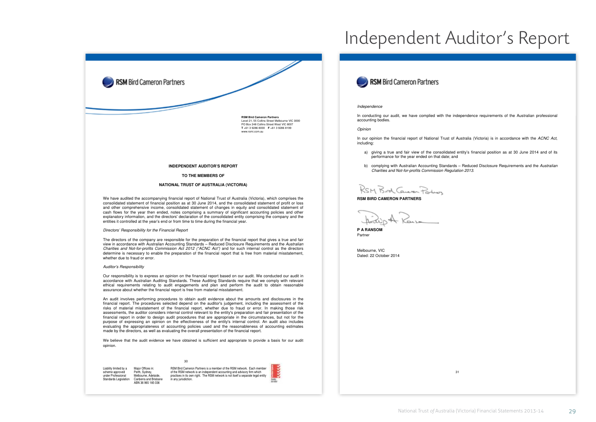

## Independent Auditor's Report

## **RSM** Bird Cameron Partners

#### Independence

In conducting our audit, we have complied with the independence requirements of the Australian professional accounting bodies.

Opinion

In our opinion the financial report of National Trust of Australia (Victoria) is in accordance with the ACNC Act, including:

- a) giving a true and fair view of the consolidated entity's financial position as at 30 June 2014 and of its performance for the year ended on that date; and
- b) complying with Australian Accounting Standards Reduced Disclosure Requirements and the Australian Charities and Not-for-profits Commission Regulation 2013.

RSM Brot Causer Partner

**RSM BIRD CAMERON PARTNERS** 

**P A RANSOM**  Partner

Melbourne, VIC Dated: 22 October 2014

31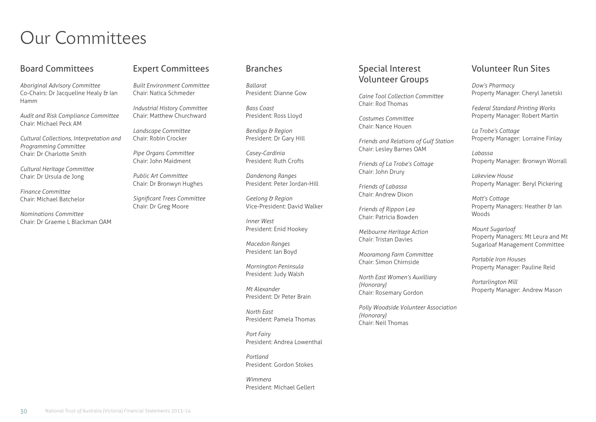## Our Committees

## Board Committees

*Aboriginal Advisory Committee* Co-Chairs: Dr Jacqueline Healy & Ian Hamm

*Audit and Risk Compliance Committee* Chair: Michael Peck AM

*Cultural Collections, Interpretation and Programming Committee* Chair: Dr Charlotte Smith

*Cultural Heritage Committee* Chair: Dr Ursula de Jong

*Finance Committee* Chair: Michael Batchelor

*Nominations Committee* Chair: Dr Graeme L Blackman OAM

## Expert Committees

*Built Environment Committee* Chair: Natica Schmeder

*Industrial History Committee*  Chair: Matthew Churchward

*Landscape Committee* Chair: Robin Crocker

*Pipe Organs Committee* Chair: John Maidment

*Public Art Committee* Chair: Dr Bronwyn Hughes

*Significant Trees Committee* Chair: Dr Greg Moore

> *Inner West* President: Enid Hookey

*Geelong & Region*

Vice-President: David Walker

**Branches** 

President: Dianne Gow

President: Ross Lloyd

*Bendigo & Region* President: Dr Gary Hill

*Casey-Cardinia* President: Ruth Crofts

*Dandenong Ranges* President: Peter Jordan-Hill

*Ballarat*

*Bass Coast*

*Macedon Ranges* President: Ian Boyd

*Mornington Peninsula* President: Judy Walsh

*Mt Alexander* President: Dr Peter Brain

*North East* President: Pamela Thomas

*Port Fairy* President: Andrea Lowenthal

*Portland* President: Gordon Stokes

*Wimmera* President: Michael Gellert

## Special Interest Volunteer Groups

*Caine Tool Collection Committee* Chair: Rod Thomas

*Costumes Committee* Chair: Nance Houen

*Friends and Relations of Gulf Station* Chair: Lesley Barnes OAM

*Friends of La Trobe's Cottage* Chair: John Drury

*Friends of Labassa* Chair: Andrew Dixon

*Friends of Rippon Lea* Chair: Patricia Bowden

*Melbourne Heritage Action* Chair: Tristan Davies

*Mooramong Farm Committee* Chair: Simon Chirnside

*North East Women's Auxilliary (Honorary)* Chair: Rosemary Gordon

*Polly Woodside Volunteer Association (Honorary)* Chair: Neil Thomas

## Volunteer Run Sites

*Dow's Pharmacy* Property Manager: Cheryl Janetski

*Federal Standard Printing Works* Property Manager: Robert Martin

*La Trobe's Cottage* Property Manager: Lorraine Finlay

*Labassa* Property Manager: Bronwyn Worrall

*Lakeview House* Property Manager: Beryl Pickering

*Mott's Cottage* Property Managers: Heather & Ian Woods

*Mount Sugarloaf* Property Managers: Mt Leura and Mt Sugarloaf Management Committee

*Portable Iron Houses* Property Manager: Pauline Reid

*Portarlington Mill* Property Manager: Andrew Mason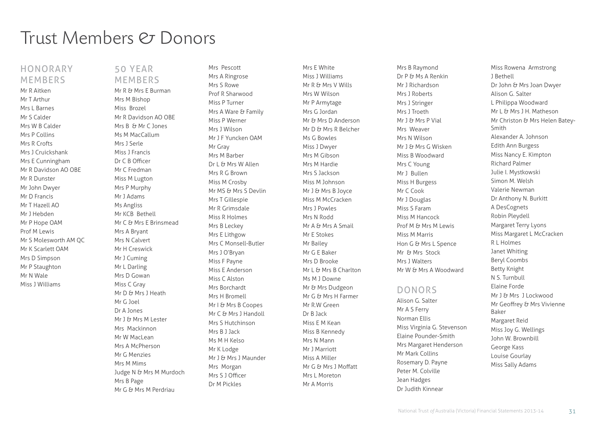## Trust Members & Donors

## HONORARY **MEMRERS**

Mr R Aitken Mr T Arthur Mrs L Barnes Mr S Calder Mrs W B Calder Mrs P Collins Mrs R Crofts Mrs J Cruickshank Mrs E Cunningham Mr R Davidson AO OBE Mr R Dunster Mr John Dwyer Mr D Francis Mr T Hazell AO Mr J Hebden Mr P Hope OAM Prof M Lewis Mr S Molesworth AM QC Mr K Scarlett OAM Mrs D Simpson Mr P Staughton Mr N Wale Miss J Williams

## 50 YEAR **MEMRERS**

Mr R & Mrs E Burman Mrs M Bishop Miss Brozel Mr R Davidson AO OBE Mrs B & Mr C Jones Ms M MacCallum Mrs J Serle Miss J Francis Dr C B Officer Mr C Fredman Miss M Lugton Mrs P Murphy Mr J Adams Ms Angliss Mr KCB Bethell Mr C & Mrs E Brinsmead Mrs A Bryant Mrs N Calvert Mr H Creswick Mr J Cuming Mr L Darling Mrs D Gowan Miss C Gray Mr D & Mrs 1 Heath Mr G Joel Dr A Jones Mr J & Mrs M Lester Mrs Mackinnon Mr W MacLean Mrs A McPherson Mr G Menzies Mrs M Mims Judge N & Mrs M Murdoch Mrs B Page Mr G & Mrs M Perdriau

Mrs A Ringrose Mrs S Rowe Prof R Sharwood Miss P Turner Mrs A Ware & Family Miss P Werner Mrs J Wilson Mr J F Yuncken OAM Mr Gray Mrs M Barber Dr L & Mrs W Allen Mrs R G Brown Miss M Crosby Mr MS & Mrs S Devlin Mrs T Gillespie Mr R Grimsdale Miss R Holmes Mrs B Leckey Mrs E Lithgow Mrs C Monsell-Butler Mrs J O'Bryan Miss F Payne Miss E Anderson Miss C Alston Mrs Borchardt Mrs H Bromell Mr I & Mrs B Coopes Mr C & Mrs J Handoll Mrs S Hutchinson Mrs B J Jack Ms M H Kelso Mr K Lodge Mr J & Mrs J Maunder Mrs Morgan Mrs S J Officer Dr M Pickles

Mrs Pescott

Mrs E White Miss J Williams Mr R & Mrs V Wills Mrs W Wilson Mr P Armytage Mrs G Jordan Mr & Mrs D Anderson Mr D & Mrs R Belcher Ms G Bowles Miss J Dwyer Mrs M Gibson Mrs M Hardie Mrs S Jackson Miss M Johnson Mr J & Mrs B Joyce Miss M McCracken Mrs J Powles Mrs N Rodd Mr A & Mrs A Smail Mr E Stokes Mr Bailey Mr G E Baker Mrs D Brooke Mr L & Mrs B Charlton Ms M J Downe Mr & Mrs Dudgeon Mr G & Mrs H Farmer Mr R.W Green Dr B Jack Miss E M Kean Miss B Kennedy Mrs N Mann Mr J Marriott Miss A Miller Mr G & Mrs J Moffatt Mrs L Moreton Mr A Morris

Mrs B Raymond Dr P & Ms A Renkin Mr J Richardson Mrs J Roberts Mrs J Stringer Mrs J Troeth Mr 1 & Mrs P Vial Mrs Weaver Mrs N Wilson Mr J & Mrs G Wisken Miss B Woodward Mrs C Young Mr J Bullen Miss H Burgess Mr C Cook Mr J Douglas Miss S Faram Miss M Hancock Prof M & Mrs M Lewis Miss M Marris Hon G & Mrs L Spence Mr & Mrs Stock Mrs J Walters Mr W & Mrs A Woodward

## DONORS

Alison G. Salter Mr A S Ferry Norman Ellis Miss Virginia G. Stevenson Elaine Pounder-Smith Mrs Margaret Henderson Mr Mark Collins Rosemary D. Payne Peter M. Colville Jean Hadges Dr Judith Kinnear

Miss Rowena Armstrong J Bethell Dr John & Mrs Joan Dwyer Alison G. Salter L Philippa Woodward Mr L & Mrs J H. Matheson Mr Christon & Mrs Helen Batev-Smith Alexander A. Johnson Edith Ann Burgess Miss Nancy E. Kimpton Richard Palmer Julie I. Mystkowski Simon M. Welsh Valerie Newman Dr Anthony N. Burkitt A DesCognets Robin Pleydell Margaret Terry Lyons Miss Margaret L McCracken R L Holmes Janet Whiting Beryl Coombs Betty Knight N S. Turnbull Elaine Forde Mr 18 Mrs 11 ockwood Mr Geoffrey & Mrs Vivienne Baker Margaret Reid Miss Joy G. Wellings John W. Brownbill George Kass Louise Gourlay Miss Sally Adams